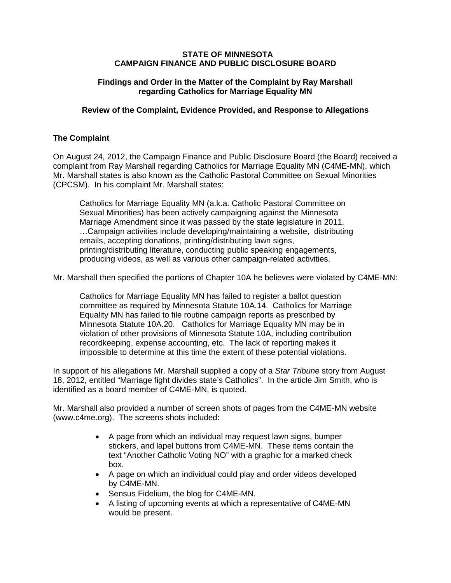#### **STATE OF MINNESOTA CAMPAIGN FINANCE AND PUBLIC DISCLOSURE BOARD**

### **Findings and Order in the Matter of the Complaint by Ray Marshall regarding Catholics for Marriage Equality MN**

#### **Review of the Complaint, Evidence Provided, and Response to Allegations**

# **The Complaint**

On August 24, 2012, the Campaign Finance and Public Disclosure Board (the Board) received a complaint from Ray Marshall regarding Catholics for Marriage Equality MN (C4ME-MN), which Mr. Marshall states is also known as the Catholic Pastoral Committee on Sexual Minorities (CPCSM). In his complaint Mr. Marshall states:

Catholics for Marriage Equality MN (a.k.a. Catholic Pastoral Committee on Sexual Minorities) has been actively campaigning against the Minnesota Marriage Amendment since it was passed by the state legislature in 2011. …Campaign activities include developing/maintaining a website, distributing emails, accepting donations, printing/distributing lawn signs, printing/distributing literature, conducting public speaking engagements, producing videos, as well as various other campaign-related activities.

Mr. Marshall then specified the portions of Chapter 10A he believes were violated by C4ME-MN:

Catholics for Marriage Equality MN has failed to register a ballot question committee as required by Minnesota Statute 10A.14. Catholics for Marriage Equality MN has failed to file routine campaign reports as prescribed by Minnesota Statute 10A.20. Catholics for Marriage Equality MN may be in violation of other provisions of Minnesota Statute 10A, including contribution recordkeeping, expense accounting, etc. The lack of reporting makes it impossible to determine at this time the extent of these potential violations.

In support of his allegations Mr. Marshall supplied a copy of a *Star Tribune* story from August 18, 2012, entitled "Marriage fight divides state's Catholics". In the article Jim Smith, who is identified as a board member of C4ME-MN, is quoted.

Mr. Marshall also provided a number of screen shots of pages from the C4ME-MN website (www.c4me.org). The screens shots included:

- A page from which an individual may request lawn signs, bumper stickers, and lapel buttons from C4ME-MN. These items contain the text "Another Catholic Voting NO" with a graphic for a marked check box.
- A page on which an individual could play and order videos developed by C4ME-MN.
- Sensus Fidelium, the blog for C4ME-MN.
- A listing of upcoming events at which a representative of C4ME-MN would be present.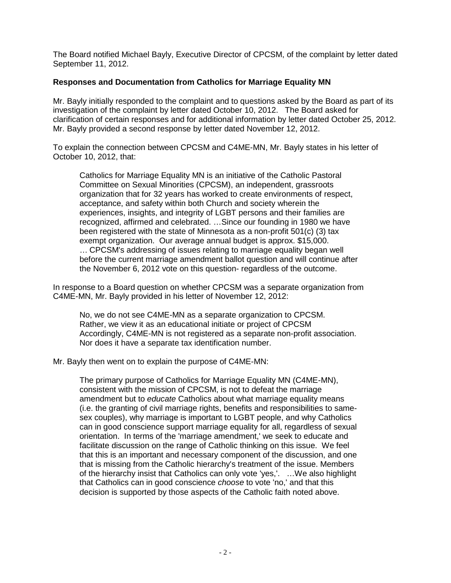The Board notified Michael Bayly, Executive Director of CPCSM, of the complaint by letter dated September 11, 2012.

# **Responses and Documentation from Catholics for Marriage Equality MN**

Mr. Bayly initially responded to the complaint and to questions asked by the Board as part of its investigation of the complaint by letter dated October 10, 2012. The Board asked for clarification of certain responses and for additional information by letter dated October 25, 2012. Mr. Bayly provided a second response by letter dated November 12, 2012.

To explain the connection between CPCSM and C4ME-MN, Mr. Bayly states in his letter of October 10, 2012, that:

Catholics for Marriage Equality MN is an initiative of the Catholic Pastoral Committee on Sexual Minorities (CPCSM), an independent, grassroots organization that for 32 years has worked to create environments of respect, acceptance, and safety within both Church and society wherein the experiences, insights, and integrity of LGBT persons and their families are recognized, affirmed and celebrated. …Since our founding in 1980 we have been registered with the state of Minnesota as a non-profit 501(c) (3) tax exempt organization. Our average annual budget is approx. \$15,000. … CPCSM's addressing of issues relating to marriage equality began well before the current marriage amendment ballot question and will continue after the November 6, 2012 vote on this question- regardless of the outcome.

In response to a Board question on whether CPCSM was a separate organization from C4ME-MN, Mr. Bayly provided in his letter of November 12, 2012:

No, we do not see C4ME-MN as a separate organization to CPCSM. Rather, we view it as an educational initiate or project of CPCSM Accordingly, C4ME-MN is not registered as a separate non-profit association. Nor does it have a separate tax identification number.

Mr. Bayly then went on to explain the purpose of C4ME-MN:

The primary purpose of Catholics for Marriage Equality MN (C4ME-MN), consistent with the mission of CPCSM, is not to defeat the marriage amendment but to *educate* Catholics about what marriage equality means (i.e. the granting of civil marriage rights, benefits and responsibilities to samesex couples), why marriage is important to LGBT people, and why Catholics can in good conscience support marriage equality for all, regardless of sexual orientation. In terms of the 'marriage amendment,' we seek to educate and facilitate discussion on the range of Catholic thinking on this issue. We feel that this is an important and necessary component of the discussion, and one that is missing from the Catholic hierarchy's treatment of the issue. Members of the hierarchy insist that Catholics can only vote 'yes,'. …We also highlight that Catholics can in good conscience *choose* to vote 'no,' and that this decision is supported by those aspects of the Catholic faith noted above.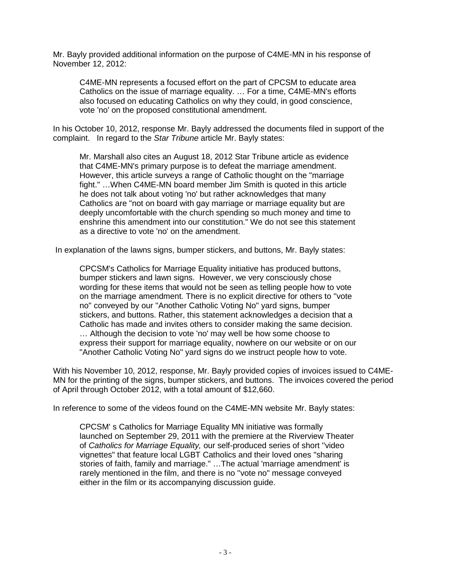Mr. Bayly provided additional information on the purpose of C4ME-MN in his response of November 12, 2012:

C4ME-MN represents a focused effort on the part of CPCSM to educate area Catholics on the issue of marriage equality. … For a time, C4ME-MN's efforts also focused on educating Catholics on why they could, in good conscience, vote 'no' on the proposed constitutional amendment.

In his October 10, 2012, response Mr. Bayly addressed the documents filed in support of the complaint. In regard to the *Star Tribune* article Mr. Bayly states:

Mr. Marshall also cites an August 18, 2012 Star Tribune article as evidence that C4ME-MN's primary purpose is to defeat the marriage amendment. However, this article surveys a range of Catholic thought on the "marriage fight." …When C4ME-MN board member Jim Smith is quoted in this article he does not talk about voting 'no' but rather acknowledges that many Catholics are "not on board with gay marriage or marriage equality but are deeply uncomfortable with the church spending so much money and time to enshrine this amendment into our constitution." We do not see this statement as a directive to vote 'no' on the amendment.

In explanation of the lawns signs, bumper stickers, and buttons, Mr. Bayly states:

CPCSM's Catholics for Marriage Equality initiative has produced buttons, bumper stickers and lawn signs. However, we very consciously chose wording for these items that would not be seen as telling people how to vote on the marriage amendment. There is no explicit directive for others to ''vote no" conveyed by our "Another Catholic Voting No" yard signs, bumper stickers, and buttons. Rather, this statement acknowledges a decision that a Catholic has made and invites others to consider making the same decision. … Although the decision to vote 'no' may well be how some choose to express their support for marriage equality, nowhere on our website or on our "Another Catholic Voting No" yard signs do we instruct people how to vote.

With his November 10, 2012, response, Mr. Bayly provided copies of invoices issued to C4ME-MN for the printing of the signs, bumper stickers, and buttons. The invoices covered the period of April through October 2012, with a total amount of \$12,660.

In reference to some of the videos found on the C4ME-MN website Mr. Bayly states:

CPCSM' s Catholics for Marriage Equality MN initiative was formally launched on September 29, 2011 with the premiere at the Riverview Theater of *Catholics for Marriage Equality,* our self-produced series of short ''video vignettes" that feature local LGBT Catholics and their loved ones "sharing stories of faith, family and marriage." …The actual 'marriage amendment' is rarely mentioned in the film, and there is no ''vote no" message conveyed either in the film or its accompanying discussion guide.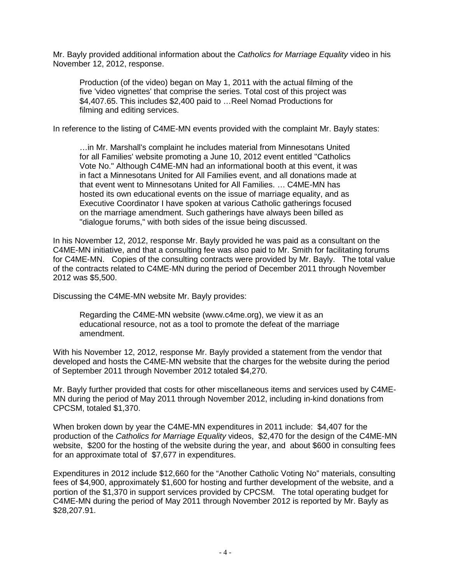Mr. Bayly provided additional information about the *Catholics for Marriage Equality* video in his November 12, 2012, response.

Production (of the video) began on May 1, 2011 with the actual filming of the five 'video vignettes' that comprise the series. Total cost of this project was \$4,407.65. This includes \$2,400 paid to …Reel Nomad Productions for filming and editing services.

In reference to the listing of C4ME-MN events provided with the complaint Mr. Bayly states:

…in Mr. Marshall's complaint he includes material from Minnesotans United for all Families' website promoting a June 10, 2012 event entitled "Catholics Vote No." Although C4ME-MN had an informational booth at this event, it was in fact a Minnesotans United for All Families event, and all donations made at that event went to Minnesotans United for All Families. … C4ME-MN has hosted its own educational events on the issue of marriage equality, and as Executive Coordinator I have spoken at various Catholic gatherings focused on the marriage amendment. Such gatherings have always been billed as "dialogue forums," with both sides of the issue being discussed.

In his November 12, 2012, response Mr. Bayly provided he was paid as a consultant on the C4ME-MN initiative, and that a consulting fee was also paid to Mr. Smith for facilitating forums for C4ME-MN. Copies of the consulting contracts were provided by Mr. Bayly. The total value of the contracts related to C4ME-MN during the period of December 2011 through November 2012 was \$5,500.

Discussing the C4ME-MN website Mr. Bayly provides:

Regarding the C4ME-MN website (www.c4me.org), we view it as an educational resource, not as a tool to promote the defeat of the marriage amendment.

With his November 12, 2012, response Mr. Bayly provided a statement from the vendor that developed and hosts the C4ME-MN website that the charges for the website during the period of September 2011 through November 2012 totaled \$4,270.

Mr. Bayly further provided that costs for other miscellaneous items and services used by C4ME-MN during the period of May 2011 through November 2012, including in-kind donations from CPCSM, totaled \$1,370.

When broken down by year the C4ME-MN expenditures in 2011 include: \$4,407 for the production of the *Catholics for Marriage Equality* videos, \$2,470 for the design of the C4ME-MN website, \$200 for the hosting of the website during the year, and about \$600 in consulting fees for an approximate total of \$7,677 in expenditures.

Expenditures in 2012 include \$12,660 for the "Another Catholic Voting No" materials, consulting fees of \$4,900, approximately \$1,600 for hosting and further development of the website, and a portion of the \$1,370 in support services provided by CPCSM. The total operating budget for C4ME-MN during the period of May 2011 through November 2012 is reported by Mr. Bayly as \$28,207.91.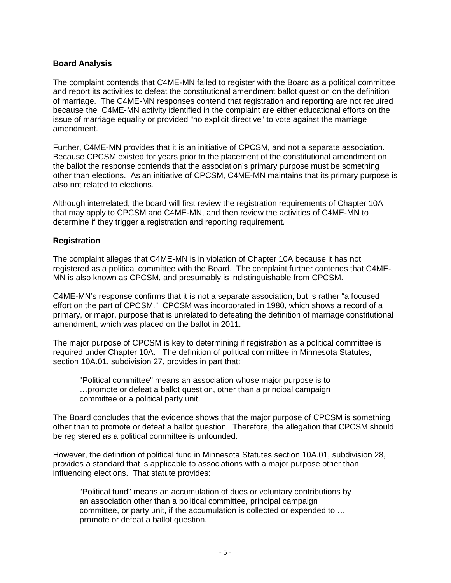# **Board Analysis**

The complaint contends that C4ME-MN failed to register with the Board as a political committee and report its activities to defeat the constitutional amendment ballot question on the definition of marriage. The C4ME-MN responses contend that registration and reporting are not required because the C4ME-MN activity identified in the complaint are either educational efforts on the issue of marriage equality or provided "no explicit directive" to vote against the marriage amendment.

Further, C4ME-MN provides that it is an initiative of CPCSM, and not a separate association. Because CPCSM existed for years prior to the placement of the constitutional amendment on the ballot the response contends that the association's primary purpose must be something other than elections. As an initiative of CPCSM, C4ME-MN maintains that its primary purpose is also not related to elections.

Although interrelated, the board will first review the registration requirements of Chapter 10A that may apply to CPCSM and C4ME-MN, and then review the activities of C4ME-MN to determine if they trigger a registration and reporting requirement.

### **Registration**

The complaint alleges that C4ME-MN is in violation of Chapter 10A because it has not registered as a political committee with the Board. The complaint further contends that C4ME-MN is also known as CPCSM, and presumably is indistinguishable from CPCSM.

C4ME-MN's response confirms that it is not a separate association, but is rather "a focused effort on the part of CPCSM." CPCSM was incorporated in 1980, which shows a record of a primary, or major, purpose that is unrelated to defeating the definition of marriage constitutional amendment, which was placed on the ballot in 2011.

The major purpose of CPCSM is key to determining if registration as a political committee is required under Chapter 10A. The definition of political committee in Minnesota Statutes, section 10A.01, subdivision 27, provides in part that:

"Political committee" means an association whose major purpose is to …promote or defeat a ballot question, other than a principal campaign committee or a political party unit.

The Board concludes that the evidence shows that the major purpose of CPCSM is something other than to promote or defeat a ballot question. Therefore, the allegation that CPCSM should be registered as a political committee is unfounded.

However, the definition of political fund in Minnesota Statutes section 10A.01, subdivision 28, provides a standard that is applicable to associations with a major purpose other than influencing elections. That statute provides:

"Political fund" means an accumulation of dues or voluntary contributions by an association other than a political committee, principal campaign committee, or party unit, if the accumulation is collected or expended to … promote or defeat a ballot question.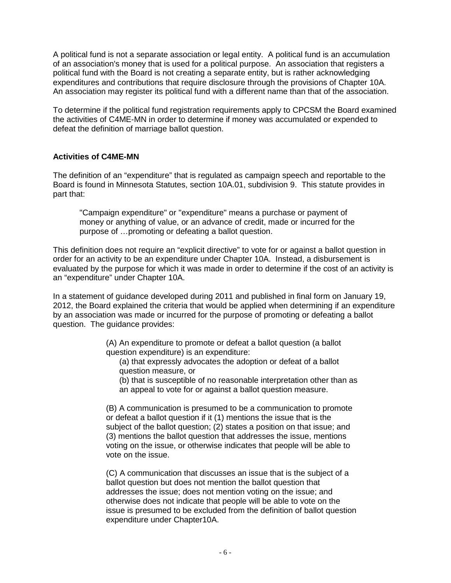A political fund is not a separate association or legal entity. A political fund is an accumulation of an association's money that is used for a political purpose. An association that registers a political fund with the Board is not creating a separate entity, but is rather acknowledging expenditures and contributions that require disclosure through the provisions of Chapter 10A. An association may register its political fund with a different name than that of the association.

To determine if the political fund registration requirements apply to CPCSM the Board examined the activities of C4ME-MN in order to determine if money was accumulated or expended to defeat the definition of marriage ballot question.

### **Activities of C4ME-MN**

The definition of an "expenditure" that is regulated as campaign speech and reportable to the Board is found in Minnesota Statutes, section 10A.01, subdivision 9. This statute provides in part that:

"Campaign expenditure" or "expenditure" means a purchase or payment of money or anything of value, or an advance of credit, made or incurred for the purpose of …promoting or defeating a ballot question.

This definition does not require an "explicit directive" to vote for or against a ballot question in order for an activity to be an expenditure under Chapter 10A. Instead, a disbursement is evaluated by the purpose for which it was made in order to determine if the cost of an activity is an "expenditure" under Chapter 10A.

In a statement of guidance developed during 2011 and published in final form on January 19, 2012, the Board explained the criteria that would be applied when determining if an expenditure by an association was made or incurred for the purpose of promoting or defeating a ballot question. The guidance provides:

> (A) An expenditure to promote or defeat a ballot question (a ballot question expenditure) is an expenditure:

(a) that expressly advocates the adoption or defeat of a ballot question measure, or

(b) that is susceptible of no reasonable interpretation other than as an appeal to vote for or against a ballot question measure.

(B) A communication is presumed to be a communication to promote or defeat a ballot question if it (1) mentions the issue that is the subject of the ballot question; (2) states a position on that issue; and (3) mentions the ballot question that addresses the issue, mentions voting on the issue, or otherwise indicates that people will be able to vote on the issue.

(C) A communication that discusses an issue that is the subject of a ballot question but does not mention the ballot question that addresses the issue; does not mention voting on the issue; and otherwise does not indicate that people will be able to vote on the issue is presumed to be excluded from the definition of ballot question expenditure under Chapter10A.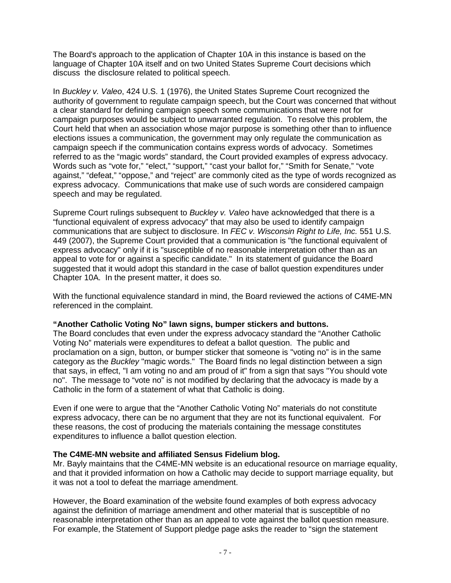The Board's approach to the application of Chapter 10A in this instance is based on the language of Chapter 10A itself and on two United States Supreme Court decisions which discuss the disclosure related to political speech.

In *Buckley v. Valeo*, 424 U.S. 1 (1976), the United States Supreme Court recognized the authority of government to regulate campaign speech, but the Court was concerned that without a clear standard for defining campaign speech some communications that were not for campaign purposes would be subject to unwarranted regulation. To resolve this problem, the Court held that when an association whose major purpose is something other than to influence elections issues a communication, the government may only regulate the communication as campaign speech if the communication contains express words of advocacy. Sometimes referred to as the "magic words" standard, the Court provided examples of express advocacy. Words such as "vote for," "elect," "support," "cast your ballot for," "Smith for Senate," "vote against," "defeat," "oppose," and "reject" are commonly cited as the type of words recognized as express advocacy. Communications that make use of such words are considered campaign speech and may be regulated.

Supreme Court rulings subsequent to *Buckley v. Valeo* have acknowledged that there is a "functional equivalent of express advocacy" that may also be used to identify campaign communications that are subject to disclosure. In *FEC v. Wisconsin Right to Life, Inc.* 551 U.S. 449 (2007), the Supreme Court provided that a communication is "the functional equivalent of express advocacy" only if it is "susceptible of no reasonable interpretation other than as an appeal to vote for or against a specific candidate." In its statement of guidance the Board suggested that it would adopt this standard in the case of ballot question expenditures under Chapter 10A. In the present matter, it does so.

With the functional equivalence standard in mind, the Board reviewed the actions of C4ME-MN referenced in the complaint.

### **"Another Catholic Voting No" lawn signs, bumper stickers and buttons.**

The Board concludes that even under the express advocacy standard the "Another Catholic Voting No" materials were expenditures to defeat a ballot question. The public and proclamation on a sign, button, or bumper sticker that someone is "voting no" is in the same category as the *Buckley* "magic words." The Board finds no legal distinction between a sign that says, in effect, "I am voting no and am proud of it" from a sign that says "You should vote no". The message to "vote no" is not modified by declaring that the advocacy is made by a Catholic in the form of a statement of what that Catholic is doing.

Even if one were to argue that the "Another Catholic Voting No" materials do not constitute express advocacy, there can be no argument that they are not its functional equivalent. For these reasons, the cost of producing the materials containing the message constitutes expenditures to influence a ballot question election.

### **The C4ME-MN website and affiliated Sensus Fidelium blog.**

Mr. Bayly maintains that the C4ME-MN website is an educational resource on marriage equality, and that it provided information on how a Catholic may decide to support marriage equality, but it was not a tool to defeat the marriage amendment.

However, the Board examination of the website found examples of both express advocacy against the definition of marriage amendment and other material that is susceptible of no reasonable interpretation other than as an appeal to vote against the ballot question measure. For example, the Statement of Support pledge page asks the reader to "sign the statement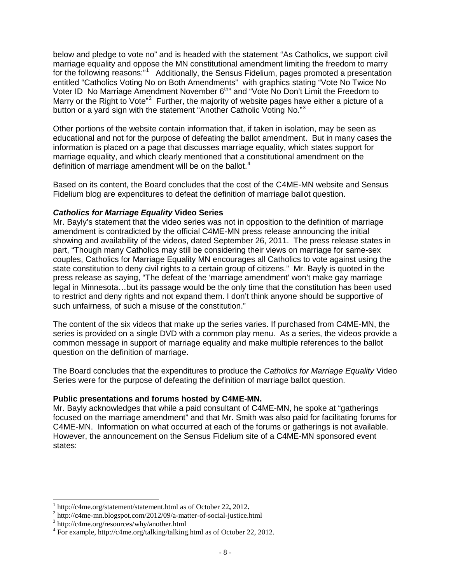below and pledge to vote no" and is headed with the statement "As Catholics, we support civil marriage equality and oppose the MN constitutional amendment limiting the freedom to marry for the following reasons:"<sup>[1](#page-7-0)</sup> Additionally, the Sensus Fidelium, pages promoted a presentation entitled "Catholics Voting No on Both Amendments" with graphics stating "Vote No Twice No Voter ID No Marriage Amendment November 6<sup>th</sup>" and "Vote No Don't Limit the Freedom to Marry or the Right to Vote"<sup>[2](#page-7-1)</sup> Further, the majority of website pages have either a picture of a button or a yard sign with the statement "Another Catholic Voting No."<sup>[3](#page-7-2)</sup>

Other portions of the website contain information that, if taken in isolation, may be seen as educational and not for the purpose of defeating the ballot amendment. But in many cases the information is placed on a page that discusses marriage equality, which states support for marriage equality, and which clearly mentioned that a constitutional amendment on the definition of marriage amendment will be on the ballot.<sup>[4](#page-7-3)</sup>

Based on its content, the Board concludes that the cost of the C4ME-MN website and Sensus Fidelium blog are expenditures to defeat the definition of marriage ballot question.

### *Catholics for Marriage Equality* **Video Series**

Mr. Bayly's statement that the video series was not in opposition to the definition of marriage amendment is contradicted by the official C4ME-MN press release announcing the initial showing and availability of the videos, dated September 26, 2011. The press release states in part, "Though many Catholics may still be considering their views on marriage for same-sex couples, Catholics for Marriage Equality MN encourages all Catholics to vote against using the state constitution to deny civil rights to a certain group of citizens." Mr. Bayly is quoted in the press release as saying, "The defeat of the 'marriage amendment' won't make gay marriage legal in Minnesota…but its passage would be the only time that the constitution has been used to restrict and deny rights and not expand them. I don't think anyone should be supportive of such unfairness, of such a misuse of the constitution."

The content of the six videos that make up the series varies. If purchased from C4ME-MN, the series is provided on a single DVD with a common play menu. As a series, the videos provide a common message in support of marriage equality and make multiple references to the ballot question on the definition of marriage.

The Board concludes that the expenditures to produce the *Catholics for Marriage Equality* Video Series were for the purpose of defeating the definition of marriage ballot question.

### **Public presentations and forums hosted by C4ME-MN.**

Mr. Bayly acknowledges that while a paid consultant of C4ME-MN, he spoke at "gatherings focused on the marriage amendment" and that Mr. Smith was also paid for facilitating forums for C4ME-MN. Information on what occurred at each of the forums or gatherings is not available. However, the announcement on the Sensus Fidelium site of a C4ME-MN sponsored event states:

<span id="page-7-1"></span><span id="page-7-0"></span><sup>&</sup>lt;sup>1</sup> [http://c4me.org/statement/statement.html as of October 22](http://c4me.org/statement/statement.html%20as%20of%20October%2022), 2012.<br>
<sup>2</sup> http://c4me-mn.blogspot.com/2012/09/a-matter-of-social-justice.html <sup>3</sup> http://c4me.org/resources/why/another.html

<span id="page-7-2"></span>

<span id="page-7-3"></span><sup>&</sup>lt;sup>4</sup> For example, http://c4me.org/talking/talking.html as of October 22, 2012.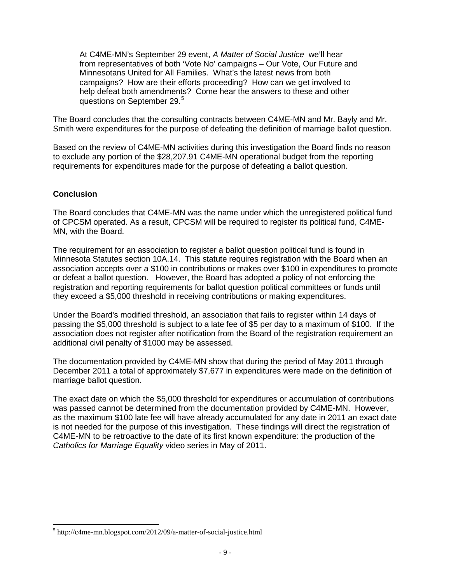At C4ME-MN's September 29 event, *A Matter of Social Justice* we'll hear from representatives of both 'Vote No' campaigns – Our Vote, Our Future and Minnesotans United for All Families. What's the latest news from both campaigns? How are their efforts proceeding? How can we get involved to help defeat both amendments? Come hear the answers to these and other questions on September 29.<sup>[5](#page-8-0)</sup>

The Board concludes that the consulting contracts between C4ME-MN and Mr. Bayly and Mr. Smith were expenditures for the purpose of defeating the definition of marriage ballot question.

Based on the review of C4ME-MN activities during this investigation the Board finds no reason to exclude any portion of the \$28,207.91 C4ME-MN operational budget from the reporting requirements for expenditures made for the purpose of defeating a ballot question.

#### **Conclusion**

The Board concludes that C4ME-MN was the name under which the unregistered political fund of CPCSM operated. As a result, CPCSM will be required to register its political fund, C4ME-MN, with the Board.

The requirement for an association to register a ballot question political fund is found in Minnesota Statutes section 10A.14. This statute requires registration with the Board when an association accepts over a \$100 in contributions or makes over \$100 in expenditures to promote or defeat a ballot question. However, the Board has adopted a policy of not enforcing the registration and reporting requirements for ballot question political committees or funds until they exceed a \$5,000 threshold in receiving contributions or making expenditures.

Under the Board's modified threshold, an association that fails to register within 14 days of passing the \$5,000 threshold is subject to a late fee of \$5 per day to a maximum of \$100. If the association does not register after notification from the Board of the registration requirement an additional civil penalty of \$1000 may be assessed.

The documentation provided by C4ME-MN show that during the period of May 2011 through December 2011 a total of approximately \$7,677 in expenditures were made on the definition of marriage ballot question.

The exact date on which the \$5,000 threshold for expenditures or accumulation of contributions was passed cannot be determined from the documentation provided by C4ME-MN. However, as the maximum \$100 late fee will have already accumulated for any date in 2011 an exact date is not needed for the purpose of this investigation. These findings will direct the registration of C4ME-MN to be retroactive to the date of its first known expenditure: the production of the *Catholics for Marriage Equality* video series in May of 2011.

<span id="page-8-0"></span> <sup>5</sup> http://c4me-mn.blogspot.com/2012/09/a-matter-of-social-justice.html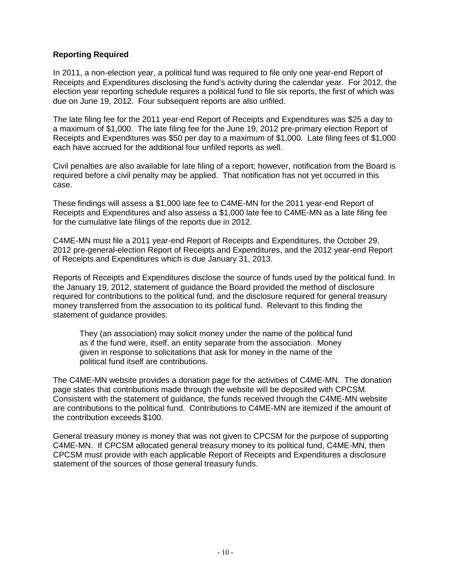# **Reporting Required**

In 2011, a non-election year, a political fund was required to file only one year-end Report of Receipts and Expenditures disclosing the fund's activity during the calendar year. For 2012, the election year reporting schedule requires a political fund to file six reports, the first of which was due on June 19, 2012. Four subsequent reports are also unfiled.

The late filing fee for the 2011 year-end Report of Receipts and Expenditures was \$25 a day to a maximum of \$1,000. The late filing fee for the June 19, 2012 pre-primary election Report of Receipts and Expenditures was \$50 per day to a maximum of \$1,000. Late filing fees of \$1,000 each have accrued for the additional four unfiled reports as well.

Civil penalties are also available for late filing of a report; however, notification from the Board is required before a civil penalty may be applied. That notification has not yet occurred in this case.

These findings will assess a \$1,000 late fee to C4ME-MN for the 2011 year-end Report of Receipts and Expenditures and also assess a \$1,000 late fee to C4ME-MN as a late filing fee for the cumulative late filings of the reports due in 2012.

C4ME-MN must file a 2011 year-end Report of Receipts and Expenditures, the October 29, 2012 pre-general-election Report of Receipts and Expenditures, and the 2012 year-end Report of Receipts and Expenditures which is due January 31, 2013.

Reports of Receipts and Expenditures disclose the source of funds used by the political fund. In the January 19, 2012, statement of guidance the Board provided the method of disclosure required for contributions to the political fund, and the disclosure required for general treasury money transferred from the association to its political fund. Relevant to this finding the statement of guidance provides:

They (an association) may solicit money under the name of the political fund as if the fund were, itself, an entity separate from the association. Money given in response to solicitations that ask for money in the name of the political fund itself are contributions.

The C4ME-MN website provides a donation page for the activities of C4ME-MN. The donation page states that contributions made through the website will be deposited with CPCSM. Consistent with the statement of guidance, the funds received through the C4ME-MN website are contributions to the political fund. Contributions to C4ME-MN are itemized if the amount of the contribution exceeds \$100.

General treasury money is money that was not given to CPCSM for the purpose of supporting C4ME-MN. If CPCSM allocated general treasury money to its political fund, C4ME-MN, then CPCSM must provide with each applicable Report of Receipts and Expenditures a disclosure statement of the sources of those general treasury funds.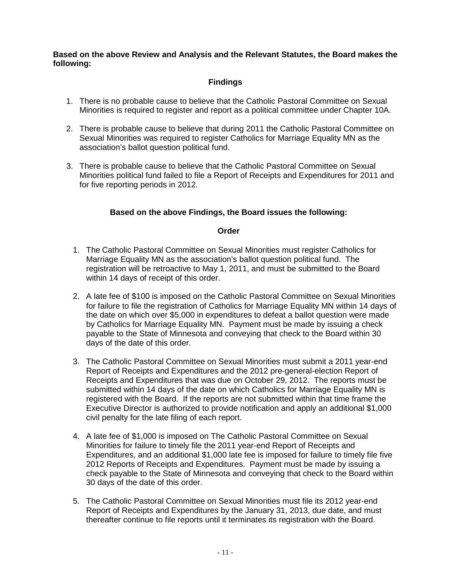**Based on the above Review and Analysis and the Relevant Statutes, the Board makes the following:**

# **Findings**

- 1. There is no probable cause to believe that the Catholic Pastoral Committee on Sexual Minorities is required to register and report as a political committee under Chapter 10A.
- 2. There is probable cause to believe that during 2011 the Catholic Pastoral Committee on Sexual Minorities was required to register Catholics for Marriage Equality MN as the association's ballot question political fund.
- 3. There is probable cause to believe that the Catholic Pastoral Committee on Sexual Minorities political fund failed to file a Report of Receipts and Expenditures for 2011 and for five reporting periods in 2012.

# **Based on the above Findings, the Board issues the following:**

#### **Order**

- 1. The Catholic Pastoral Committee on Sexual Minorities must register Catholics for Marriage Equality MN as the association's ballot question political fund. The registration will be retroactive to May 1, 2011, and must be submitted to the Board within 14 days of receipt of this order.
- 2. A late fee of \$100 is imposed on the Catholic Pastoral Committee on Sexual Minorities for failure to file the registration of Catholics for Marriage Equality MN within 14 days of the date on which over \$5,000 in expenditures to defeat a ballot question were made by Catholics for Marriage Equality MN. Payment must be made by issuing a check payable to the State of Minnesota and conveying that check to the Board within 30 days of the date of this order.
- 3. The Catholic Pastoral Committee on Sexual Minorities must submit a 2011 year-end Report of Receipts and Expenditures and the 2012 pre-general-election Report of Receipts and Expenditures that was due on October 29, 2012. The reports must be submitted within 14 days of the date on which Catholics for Marriage Equality MN is registered with the Board. If the reports are not submitted within that time frame the Executive Director is authorized to provide notification and apply an additional \$1,000 civil penalty for the late filing of each report.
- 4. A late fee of \$1,000 is imposed on The Catholic Pastoral Committee on Sexual Minorities for failure to timely file the 2011 year-end Report of Receipts and Expenditures, and an additional \$1,000 late fee is imposed for failure to timely file five 2012 Reports of Receipts and Expenditures. Payment must be made by issuing a check payable to the State of Minnesota and conveying that check to the Board within 30 days of the date of this order.
- 5. The Catholic Pastoral Committee on Sexual Minorities must file its 2012 year-end Report of Receipts and Expenditures by the January 31, 2013, due date, and must thereafter continue to file reports until it terminates its registration with the Board.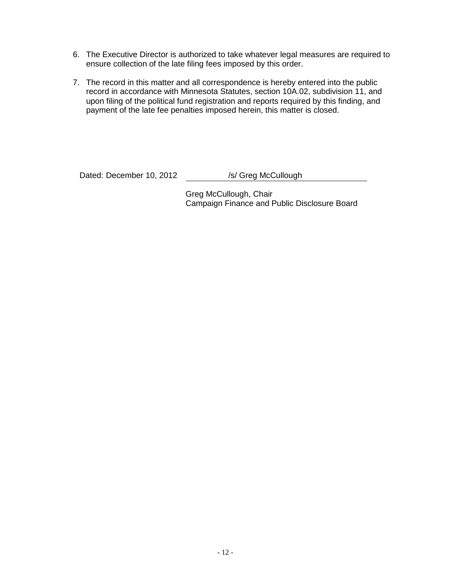- 6. The Executive Director is authorized to take whatever legal measures are required to ensure collection of the late filing fees imposed by this order.
- 7. The record in this matter and all correspondence is hereby entered into the public record in accordance with Minnesota Statutes, section 10A.02, subdivision 11, and upon filing of the political fund registration and reports required by this finding, and payment of the late fee penalties imposed herein, this matter is closed.

Dated: December 10, 2012 /s/ Greg McCullough

Greg McCullough, Chair Campaign Finance and Public Disclosure Board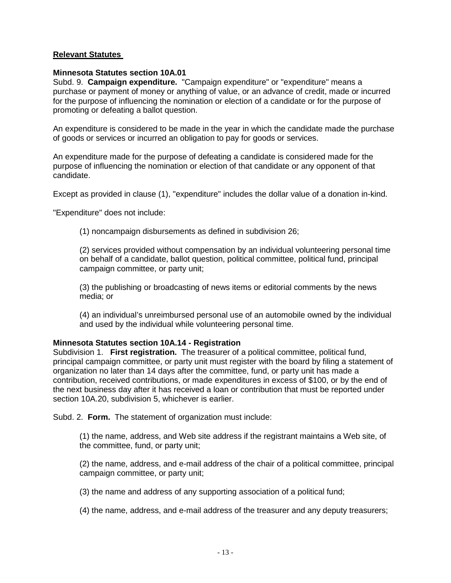### **Relevant Statutes**

#### **Minnesota Statutes section 10A.01**

Subd. 9. **Campaign expenditure.** "Campaign expenditure" or "expenditure" means a purchase or payment of money or anything of value, or an advance of credit, made or incurred for the purpose of influencing the nomination or election of a candidate or for the purpose of promoting or defeating a ballot question.

An expenditure is considered to be made in the year in which the candidate made the purchase of goods or services or incurred an obligation to pay for goods or services.

An expenditure made for the purpose of defeating a candidate is considered made for the purpose of influencing the nomination or election of that candidate or any opponent of that candidate.

Except as provided in clause (1), "expenditure" includes the dollar value of a donation in-kind.

"Expenditure" does not include:

(1) noncampaign disbursements as defined in subdivision 26;

(2) services provided without compensation by an individual volunteering personal time on behalf of a candidate, ballot question, political committee, political fund, principal campaign committee, or party unit;

(3) the publishing or broadcasting of news items or editorial comments by the news media; or

(4) an individual's unreimbursed personal use of an automobile owned by the individual and used by the individual while volunteering personal time.

#### **Minnesota Statutes section 10A.14 - Registration**

Subdivision 1. **First registration.** The treasurer of a political committee, political fund, principal campaign committee, or party unit must register with the board by filing a statement of organization no later than 14 days after the committee, fund, or party unit has made a contribution, received contributions, or made expenditures in excess of \$100, or by the end of the next business day after it has received a loan or contribution that must be reported under section 10A.20, subdivision 5, whichever is earlier.

Subd. 2. **Form.** The statement of organization must include:

(1) the name, address, and Web site address if the registrant maintains a Web site, of the committee, fund, or party unit;

(2) the name, address, and e-mail address of the chair of a political committee, principal campaign committee, or party unit;

(3) the name and address of any supporting association of a political fund;

(4) the name, address, and e-mail address of the treasurer and any deputy treasurers;